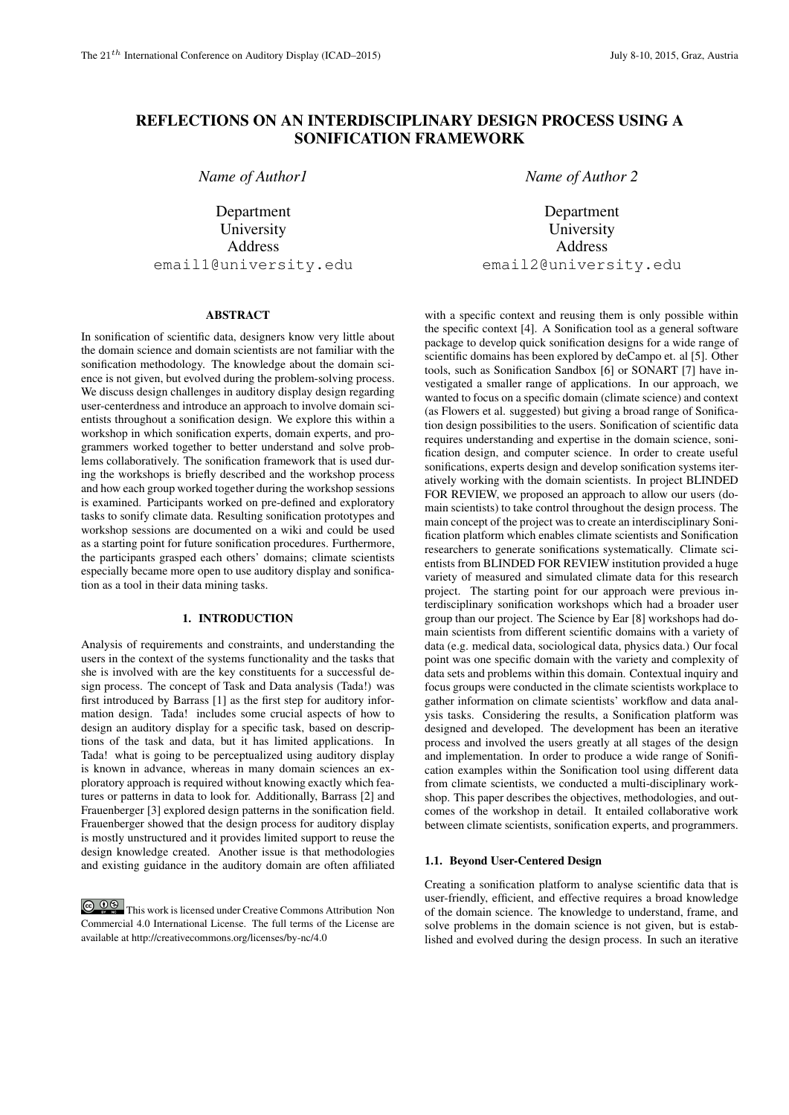# REFLECTIONS ON AN INTERDISCIPLINARY DESIGN PROCESS USING A SONIFICATION FRAMEWORK

*Name of Author1*

Department University Address email1@university.edu

## ABSTRACT

In sonification of scientific data, designers know very little about the domain science and domain scientists are not familiar with the sonification methodology. The knowledge about the domain science is not given, but evolved during the problem-solving process. We discuss design challenges in auditory display design regarding user-centerdness and introduce an approach to involve domain scientists throughout a sonification design. We explore this within a workshop in which sonification experts, domain experts, and programmers worked together to better understand and solve problems collaboratively. The sonification framework that is used during the workshops is briefly described and the workshop process and how each group worked together during the workshop sessions is examined. Participants worked on pre-defined and exploratory tasks to sonify climate data. Resulting sonification prototypes and workshop sessions are documented on a wiki and could be used as a starting point for future sonification procedures. Furthermore, the participants grasped each others' domains; climate scientists especially became more open to use auditory display and sonification as a tool in their data mining tasks.

## 1. INTRODUCTION

Analysis of requirements and constraints, and understanding the users in the context of the systems functionality and the tasks that she is involved with are the key constituents for a successful design process. The concept of Task and Data analysis (Tada!) was first introduced by Barrass [1] as the first step for auditory information design. Tada! includes some crucial aspects of how to design an auditory display for a specific task, based on descriptions of the task and data, but it has limited applications. In Tada! what is going to be perceptualized using auditory display is known in advance, whereas in many domain sciences an exploratory approach is required without knowing exactly which features or patterns in data to look for. Additionally, Barrass [2] and Frauenberger [3] explored design patterns in the sonification field. Frauenberger showed that the design process for auditory display is mostly unstructured and it provides limited support to reuse the design knowledge created. Another issue is that methodologies and existing guidance in the auditory domain are often affiliated

**CO**  $\bullet$  **This work is licensed under Creative Commons Attribution Non** Commercial 4.0 International License. The full terms of the License are available at http://creativecommons.org/licenses/by-nc/4.0

*Name of Author 2*

Department University Address email2@university.edu

with a specific context and reusing them is only possible within the specific context [4]. A Sonification tool as a general software package to develop quick sonification designs for a wide range of scientific domains has been explored by deCampo et. al [5]. Other tools, such as Sonification Sandbox [6] or SONART [7] have investigated a smaller range of applications. In our approach, we wanted to focus on a specific domain (climate science) and context (as Flowers et al. suggested) but giving a broad range of Sonification design possibilities to the users. Sonification of scientific data requires understanding and expertise in the domain science, sonification design, and computer science. In order to create useful sonifications, experts design and develop sonification systems iteratively working with the domain scientists. In project BLINDED FOR REVIEW, we proposed an approach to allow our users (domain scientists) to take control throughout the design process. The main concept of the project was to create an interdisciplinary Sonification platform which enables climate scientists and Sonification researchers to generate sonifications systematically. Climate scientists from BLINDED FOR REVIEW institution provided a huge variety of measured and simulated climate data for this research project. The starting point for our approach were previous interdisciplinary sonification workshops which had a broader user group than our project. The Science by Ear [8] workshops had domain scientists from different scientific domains with a variety of data (e.g. medical data, sociological data, physics data.) Our focal point was one specific domain with the variety and complexity of data sets and problems within this domain. Contextual inquiry and focus groups were conducted in the climate scientists workplace to gather information on climate scientists' workflow and data analysis tasks. Considering the results, a Sonification platform was designed and developed. The development has been an iterative process and involved the users greatly at all stages of the design and implementation. In order to produce a wide range of Sonification examples within the Sonification tool using different data from climate scientists, we conducted a multi-disciplinary workshop. This paper describes the objectives, methodologies, and outcomes of the workshop in detail. It entailed collaborative work between climate scientists, sonification experts, and programmers.

## 1.1. Beyond User-Centered Design

Creating a sonification platform to analyse scientific data that is user-friendly, efficient, and effective requires a broad knowledge of the domain science. The knowledge to understand, frame, and solve problems in the domain science is not given, but is established and evolved during the design process. In such an iterative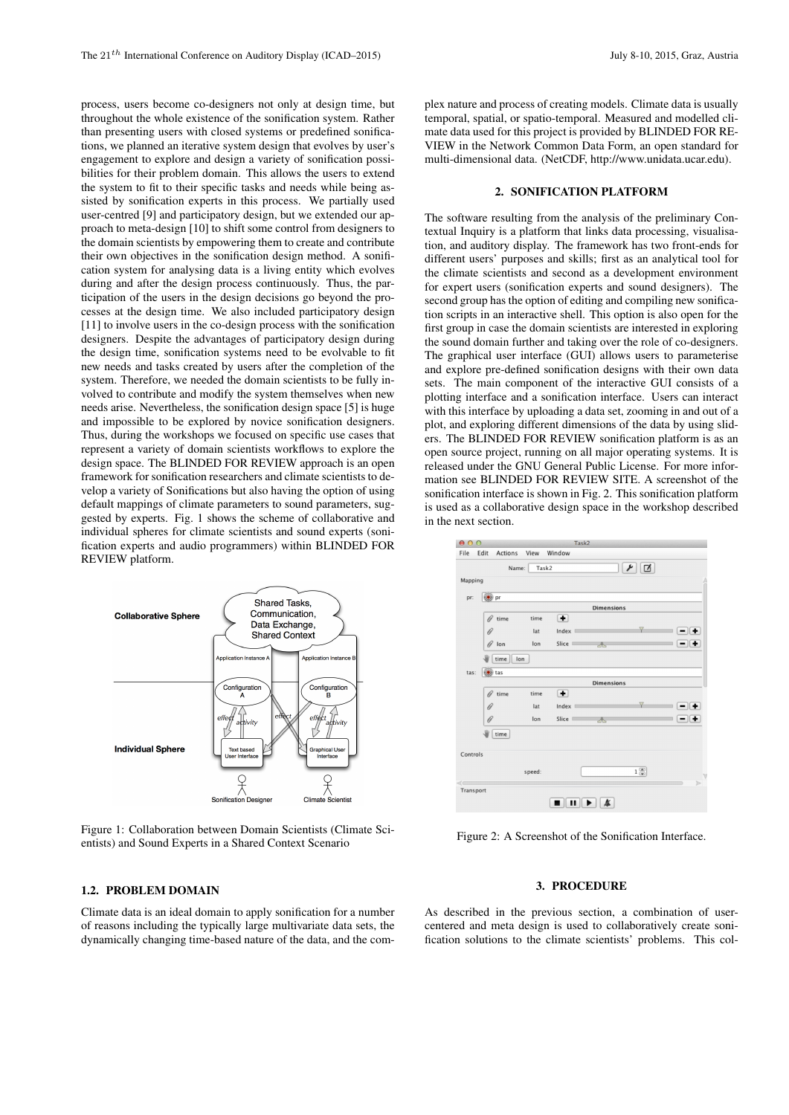process, users become co-designers not only at design time, but throughout the whole existence of the sonification system. Rather than presenting users with closed systems or predefined sonifications, we planned an iterative system design that evolves by user's engagement to explore and design a variety of sonification possibilities for their problem domain. This allows the users to extend the system to fit to their specific tasks and needs while being assisted by sonification experts in this process. We partially used user-centred [9] and participatory design, but we extended our approach to meta-design [10] to shift some control from designers to the domain scientists by empowering them to create and contribute their own objectives in the sonification design method. A sonification system for analysing data is a living entity which evolves during and after the design process continuously. Thus, the participation of the users in the design decisions go beyond the processes at the design time. We also included participatory design [11] to involve users in the co-design process with the sonification designers. Despite the advantages of participatory design during the design time, sonification systems need to be evolvable to fit new needs and tasks created by users after the completion of the system. Therefore, we needed the domain scientists to be fully involved to contribute and modify the system themselves when new needs arise. Nevertheless, the sonification design space [5] is huge and impossible to be explored by novice sonification designers. Thus, during the workshops we focused on specific use cases that represent a variety of domain scientists workflows to explore the design space. The BLINDED FOR REVIEW approach is an open framework for sonification researchers and climate scientists to develop a variety of Sonifications but also having the option of using default mappings of climate parameters to sound parameters, suggested by experts. Fig. 1 shows the scheme of collaborative and individual spheres for climate scientists and sound experts (sonification experts and audio programmers) within BLINDED FOR REVIEW platform.



Figure 1: Collaboration between Domain Scientists (Climate Scientists) and Sound Experts in a Shared Context Scenario

## 1.2. PROBLEM DOMAIN

Climate data is an ideal domain to apply sonification for a number of reasons including the typically large multivariate data sets, the dynamically changing time-based nature of the data, and the complex nature and process of creating models. Climate data is usually temporal, spatial, or spatio-temporal. Measured and modelled climate data used for this project is provided by BLINDED FOR RE-VIEW in the Network Common Data Form, an open standard for multi-dimensional data. (NetCDF, http://www.unidata.ucar.edu).

#### 2. SONIFICATION PLATFORM

The software resulting from the analysis of the preliminary Contextual Inquiry is a platform that links data processing, visualisation, and auditory display. The framework has two front-ends for different users' purposes and skills; first as an analytical tool for the climate scientists and second as a development environment for expert users (sonification experts and sound designers). The second group has the option of editing and compiling new sonification scripts in an interactive shell. This option is also open for the first group in case the domain scientists are interested in exploring the sound domain further and taking over the role of co-designers. The graphical user interface (GUI) allows users to parameterise and explore pre-defined sonification designs with their own data sets. The main component of the interactive GUI consists of a plotting interface and a sonification interface. Users can interact with this interface by uploading a data set, zooming in and out of a plot, and exploring different dimensions of the data by using sliders. The BLINDED FOR REVIEW sonification platform is as an open source project, running on all major operating systems. It is released under the GNU General Public License. For more information see BLINDED FOR REVIEW SITE. A screenshot of the sonification interface is shown in Fig. 2. This sonification platform is used as a collaborative design space in the workshop described in the next section.



Figure 2: A Screenshot of the Sonification Interface.

#### 3. PROCEDURE

As described in the previous section, a combination of usercentered and meta design is used to collaboratively create sonification solutions to the climate scientists' problems. This col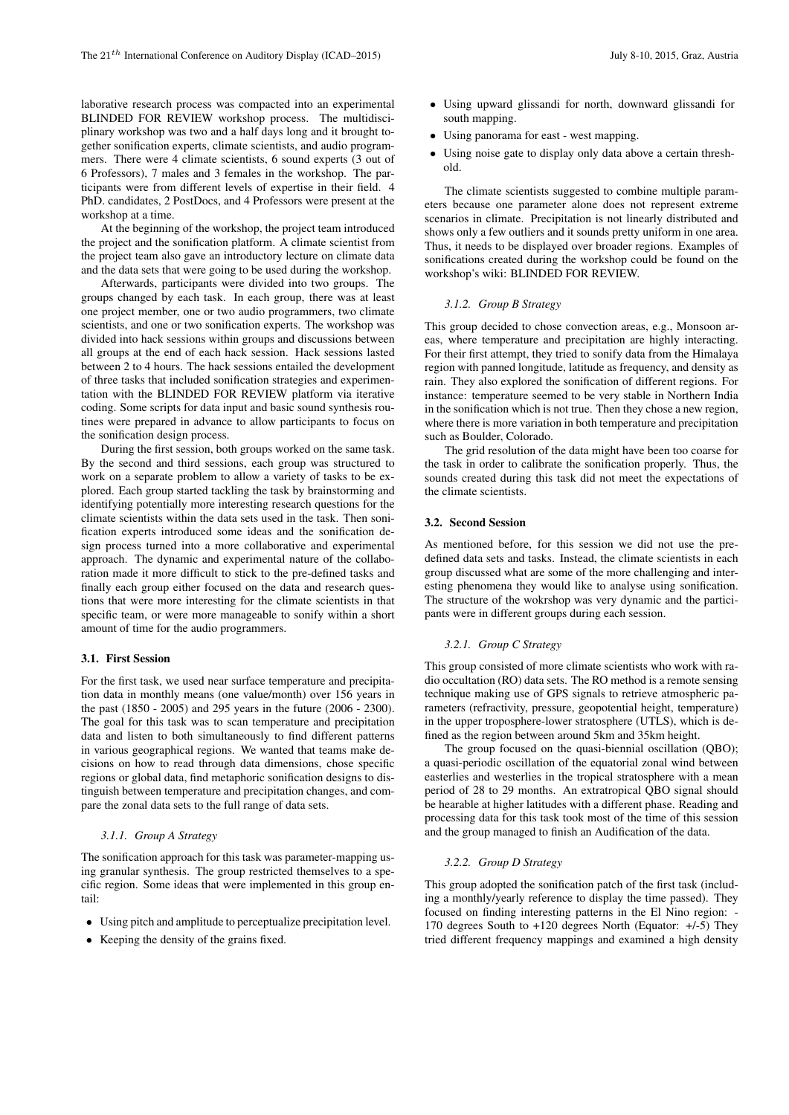laborative research process was compacted into an experimental BLINDED FOR REVIEW workshop process. The multidisciplinary workshop was two and a half days long and it brought together sonification experts, climate scientists, and audio programmers. There were 4 climate scientists, 6 sound experts (3 out of 6 Professors), 7 males and 3 females in the workshop. The participants were from different levels of expertise in their field. 4 PhD. candidates, 2 PostDocs, and 4 Professors were present at the workshop at a time.

At the beginning of the workshop, the project team introduced the project and the sonification platform. A climate scientist from the project team also gave an introductory lecture on climate data and the data sets that were going to be used during the workshop.

Afterwards, participants were divided into two groups. The groups changed by each task. In each group, there was at least one project member, one or two audio programmers, two climate scientists, and one or two sonification experts. The workshop was divided into hack sessions within groups and discussions between all groups at the end of each hack session. Hack sessions lasted between 2 to 4 hours. The hack sessions entailed the development of three tasks that included sonification strategies and experimentation with the BLINDED FOR REVIEW platform via iterative coding. Some scripts for data input and basic sound synthesis routines were prepared in advance to allow participants to focus on the sonification design process.

During the first session, both groups worked on the same task. By the second and third sessions, each group was structured to work on a separate problem to allow a variety of tasks to be explored. Each group started tackling the task by brainstorming and identifying potentially more interesting research questions for the climate scientists within the data sets used in the task. Then sonification experts introduced some ideas and the sonification design process turned into a more collaborative and experimental approach. The dynamic and experimental nature of the collaboration made it more difficult to stick to the pre-defined tasks and finally each group either focused on the data and research questions that were more interesting for the climate scientists in that specific team, or were more manageable to sonify within a short amount of time for the audio programmers.

### 3.1. First Session

For the first task, we used near surface temperature and precipitation data in monthly means (one value/month) over 156 years in the past (1850 - 2005) and 295 years in the future (2006 - 2300). The goal for this task was to scan temperature and precipitation data and listen to both simultaneously to find different patterns in various geographical regions. We wanted that teams make decisions on how to read through data dimensions, chose specific regions or global data, find metaphoric sonification designs to distinguish between temperature and precipitation changes, and compare the zonal data sets to the full range of data sets.

## *3.1.1. Group A Strategy*

The sonification approach for this task was parameter-mapping using granular synthesis. The group restricted themselves to a specific region. Some ideas that were implemented in this group entail:

- *•* Using pitch and amplitude to perceptualize precipitation level.
- Keeping the density of the grains fixed.
- *•* Using upward glissandi for north, downward glissandi for south mapping.
- *•* Using panorama for east west mapping.
- *•* Using noise gate to display only data above a certain threshold.

The climate scientists suggested to combine multiple parameters because one parameter alone does not represent extreme scenarios in climate. Precipitation is not linearly distributed and shows only a few outliers and it sounds pretty uniform in one area. Thus, it needs to be displayed over broader regions. Examples of sonifications created during the workshop could be found on the workshop's wiki: BLINDED FOR REVIEW.

### *3.1.2. Group B Strategy*

This group decided to chose convection areas, e.g., Monsoon areas, where temperature and precipitation are highly interacting. For their first attempt, they tried to sonify data from the Himalaya region with panned longitude, latitude as frequency, and density as rain. They also explored the sonification of different regions. For instance: temperature seemed to be very stable in Northern India in the sonification which is not true. Then they chose a new region, where there is more variation in both temperature and precipitation such as Boulder, Colorado.

The grid resolution of the data might have been too coarse for the task in order to calibrate the sonification properly. Thus, the sounds created during this task did not meet the expectations of the climate scientists.

#### 3.2. Second Session

As mentioned before, for this session we did not use the predefined data sets and tasks. Instead, the climate scientists in each group discussed what are some of the more challenging and interesting phenomena they would like to analyse using sonification. The structure of the wokrshop was very dynamic and the participants were in different groups during each session.

## *3.2.1. Group C Strategy*

This group consisted of more climate scientists who work with radio occultation (RO) data sets. The RO method is a remote sensing technique making use of GPS signals to retrieve atmospheric parameters (refractivity, pressure, geopotential height, temperature) in the upper troposphere-lower stratosphere (UTLS), which is defined as the region between around 5km and 35km height.

The group focused on the quasi-biennial oscillation (QBO); a quasi-periodic oscillation of the equatorial zonal wind between easterlies and westerlies in the tropical stratosphere with a mean period of 28 to 29 months. An extratropical QBO signal should be hearable at higher latitudes with a different phase. Reading and processing data for this task took most of the time of this session and the group managed to finish an Audification of the data.

#### *3.2.2. Group D Strategy*

This group adopted the sonification patch of the first task (including a monthly/yearly reference to display the time passed). They focused on finding interesting patterns in the El Nino region: - 170 degrees South to +120 degrees North (Equator: +/-5) They tried different frequency mappings and examined a high density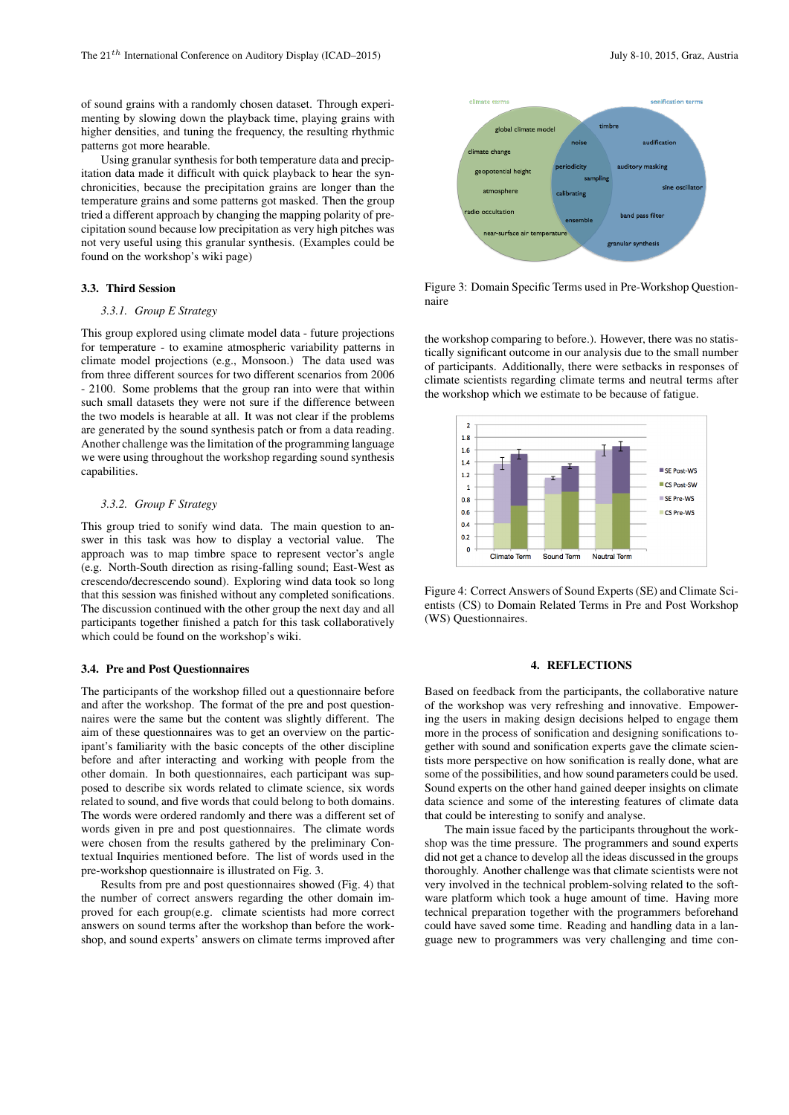of sound grains with a randomly chosen dataset. Through experimenting by slowing down the playback time, playing grains with higher densities, and tuning the frequency, the resulting rhythmic patterns got more hearable.

Using granular synthesis for both temperature data and precipitation data made it difficult with quick playback to hear the synchronicities, because the precipitation grains are longer than the temperature grains and some patterns got masked. Then the group tried a different approach by changing the mapping polarity of precipitation sound because low precipitation as very high pitches was not very useful using this granular synthesis. (Examples could be found on the workshop's wiki page)

#### 3.3. Third Session

## *3.3.1. Group E Strategy*

This group explored using climate model data - future projections for temperature - to examine atmospheric variability patterns in climate model projections (e.g., Monsoon.) The data used was from three different sources for two different scenarios from 2006 - 2100. Some problems that the group ran into were that within such small datasets they were not sure if the difference between the two models is hearable at all. It was not clear if the problems are generated by the sound synthesis patch or from a data reading. Another challenge was the limitation of the programming language we were using throughout the workshop regarding sound synthesis capabilities.

## *3.3.2. Group F Strategy*

This group tried to sonify wind data. The main question to answer in this task was how to display a vectorial value. The approach was to map timbre space to represent vector's angle (e.g. North-South direction as rising-falling sound; East-West as crescendo/decrescendo sound). Exploring wind data took so long that this session was finished without any completed sonifications. The discussion continued with the other group the next day and all participants together finished a patch for this task collaboratively which could be found on the workshop's wiki.

#### 3.4. Pre and Post Questionnaires

The participants of the workshop filled out a questionnaire before and after the workshop. The format of the pre and post questionnaires were the same but the content was slightly different. The aim of these questionnaires was to get an overview on the participant's familiarity with the basic concepts of the other discipline before and after interacting and working with people from the other domain. In both questionnaires, each participant was supposed to describe six words related to climate science, six words related to sound, and five words that could belong to both domains. The words were ordered randomly and there was a different set of words given in pre and post questionnaires. The climate words were chosen from the results gathered by the preliminary Contextual Inquiries mentioned before. The list of words used in the pre-workshop questionnaire is illustrated on Fig. 3.

Results from pre and post questionnaires showed (Fig. 4) that the number of correct answers regarding the other domain improved for each group(e.g. climate scientists had more correct answers on sound terms after the workshop than before the workshop, and sound experts' answers on climate terms improved after



Figure 3: Domain Specific Terms used in Pre-Workshop Questionnaire

the workshop comparing to before.). However, there was no statistically significant outcome in our analysis due to the small number of participants. Additionally, there were setbacks in responses of climate scientists regarding climate terms and neutral terms after the workshop which we estimate to be because of fatigue.



Figure 4: Correct Answers of Sound Experts (SE) and Climate Scientists (CS) to Domain Related Terms in Pre and Post Workshop (WS) Questionnaires.

## 4. REFLECTIONS

Based on feedback from the participants, the collaborative nature of the workshop was very refreshing and innovative. Empowering the users in making design decisions helped to engage them more in the process of sonification and designing sonifications together with sound and sonification experts gave the climate scientists more perspective on how sonification is really done, what are some of the possibilities, and how sound parameters could be used. Sound experts on the other hand gained deeper insights on climate data science and some of the interesting features of climate data that could be interesting to sonify and analyse.

The main issue faced by the participants throughout the workshop was the time pressure. The programmers and sound experts did not get a chance to develop all the ideas discussed in the groups thoroughly. Another challenge was that climate scientists were not very involved in the technical problem-solving related to the software platform which took a huge amount of time. Having more technical preparation together with the programmers beforehand could have saved some time. Reading and handling data in a language new to programmers was very challenging and time con